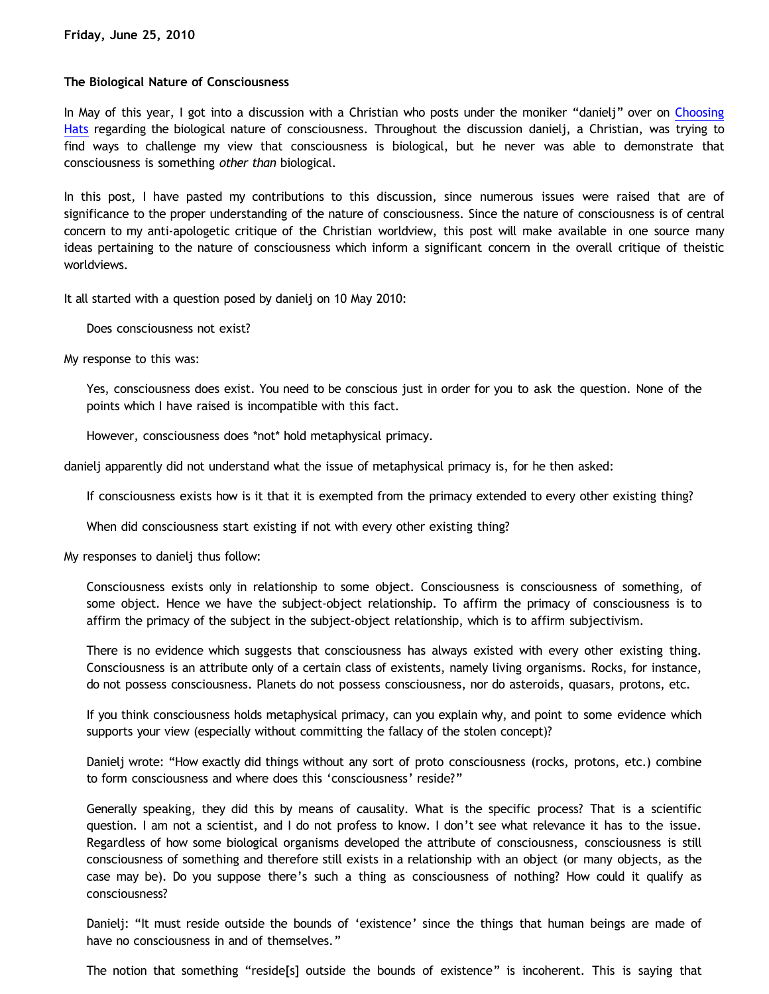## **The Biological Nature of Consciousness**

In May of this year, I got into a discussion with a Christian who posts under the moniker "danielj" over on [Choosing](http://www.choosinghats.com/?p=1188) [Hats](http://www.choosinghats.com/?p=1188) regarding the biological nature of consciousness. Throughout the discussion danielj, a Christian, was trying to find ways to challenge my view that consciousness is biological, but he never was able to demonstrate that consciousness is something *other than* biological.

In this post, I have pasted my contributions to this discussion, since numerous issues were raised that are of significance to the proper understanding of the nature of consciousness. Since the nature of consciousness is of central concern to my anti-apologetic critique of the Christian worldview, this post will make available in one source many ideas pertaining to the nature of consciousness which inform a significant concern in the overall critique of theistic worldviews.

It all started with a question posed by danielj on 10 May 2010:

Does consciousness not exist?

My response to this was:

Yes, consciousness does exist. You need to be conscious just in order for you to ask the question. None of the points which I have raised is incompatible with this fact.

However, consciousness does \*not\* hold metaphysical primacy.

danielj apparently did not understand what the issue of metaphysical primacy is, for he then asked:

If consciousness exists how is it that it is exempted from the primacy extended to every other existing thing?

When did consciousness start existing if not with every other existing thing?

My responses to danielj thus follow:

Consciousness exists only in relationship to some object. Consciousness is consciousness of something, of some object. Hence we have the subject-object relationship. To affirm the primacy of consciousness is to affirm the primacy of the subject in the subject-object relationship, which is to affirm subjectivism.

There is no evidence which suggests that consciousness has always existed with every other existing thing. Consciousness is an attribute only of a certain class of existents, namely living organisms. Rocks, for instance, do not possess consciousness. Planets do not possess consciousness, nor do asteroids, quasars, protons, etc.

If you think consciousness holds metaphysical primacy, can you explain why, and point to some evidence which supports your view (especially without committing the fallacy of the stolen concept)?

Danielj wrote: "How exactly did things without any sort of proto consciousness (rocks, protons, etc.) combine to form consciousness and where does this 'consciousness' reside?"

Generally speaking, they did this by means of causality. What is the specific process? That is a scientific question. I am not a scientist, and I do not profess to know. I don't see what relevance it has to the issue. Regardless of how some biological organisms developed the attribute of consciousness, consciousness is still consciousness of something and therefore still exists in a relationship with an object (or many objects, as the case may be). Do you suppose there's such a thing as consciousness of nothing? How could it qualify as consciousness?

Danielj: "It must reside outside the bounds of 'existence' since the things that human beings are made of have no consciousness in and of themselves."

The notion that something "reside[s] outside the bounds of existence" is incoherent. This is saying that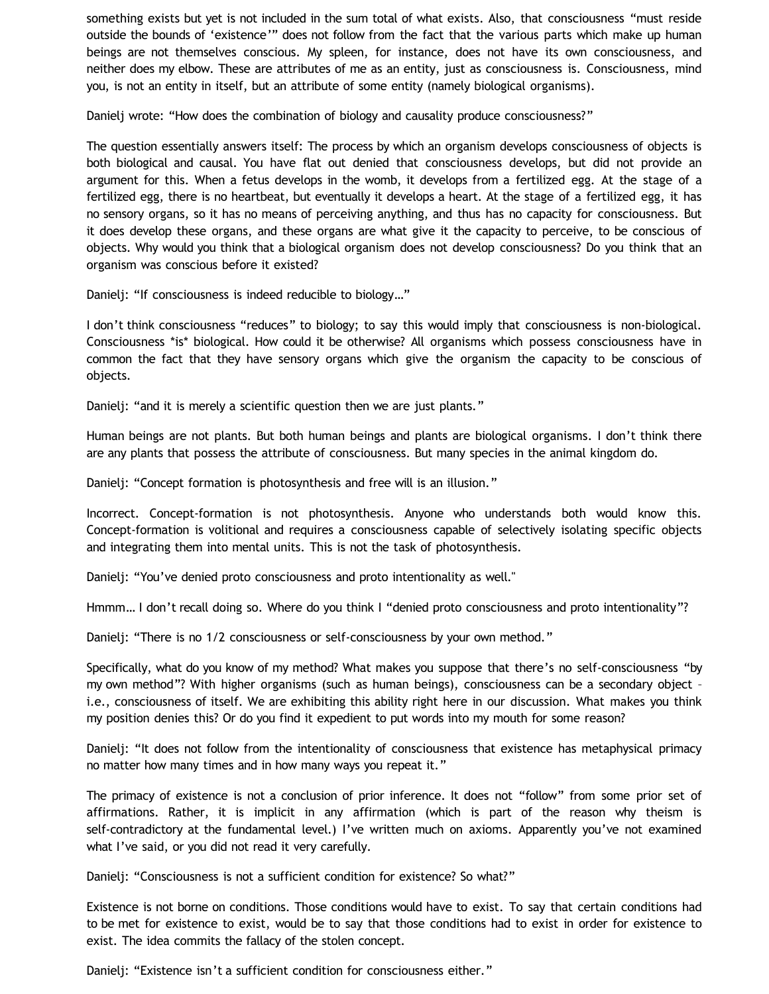something exists but yet is not included in the sum total of what exists. Also, that consciousness "must reside outside the bounds of 'existence'" does not follow from the fact that the various parts which make up human beings are not themselves conscious. My spleen, for instance, does not have its own consciousness, and neither does my elbow. These are attributes of me as an entity, just as consciousness is. Consciousness, mind you, is not an entity in itself, but an attribute of some entity (namely biological organisms).

Danielj wrote: "How does the combination of biology and causality produce consciousness?"

The question essentially answers itself: The process by which an organism develops consciousness of objects is both biological and causal. You have flat out denied that consciousness develops, but did not provide an argument for this. When a fetus develops in the womb, it develops from a fertilized egg. At the stage of a fertilized egg, there is no heartbeat, but eventually it develops a heart. At the stage of a fertilized egg, it has no sensory organs, so it has no means of perceiving anything, and thus has no capacity for consciousness. But it does develop these organs, and these organs are what give it the capacity to perceive, to be conscious of objects. Why would you think that a biological organism does not develop consciousness? Do you think that an organism was conscious before it existed?

Danielj: "If consciousness is indeed reducible to biology…"

I don't think consciousness "reduces" to biology; to say this would imply that consciousness is non-biological. Consciousness \*is\* biological. How could it be otherwise? All organisms which possess consciousness have in common the fact that they have sensory organs which give the organism the capacity to be conscious of objects.

Danielj: "and it is merely a scientific question then we are just plants."

Human beings are not plants. But both human beings and plants are biological organisms. I don't think there are any plants that possess the attribute of consciousness. But many species in the animal kingdom do.

Danielj: "Concept formation is photosynthesis and free will is an illusion."

Incorrect. Concept-formation is not photosynthesis. Anyone who understands both would know this. Concept-formation is volitional and requires a consciousness capable of selectively isolating specific objects and integrating them into mental units. This is not the task of photosynthesis.

Danielj: "You've denied proto consciousness and proto intentionality as well."

Hmmm… I don't recall doing so. Where do you think I "denied proto consciousness and proto intentionality"?

Danielj: "There is no 1/2 consciousness or self-consciousness by your own method."

Specifically, what do you know of my method? What makes you suppose that there's no self-consciousness "by my own method"? With higher organisms (such as human beings), consciousness can be a secondary object – i.e., consciousness of itself. We are exhibiting this ability right here in our discussion. What makes you think my position denies this? Or do you find it expedient to put words into my mouth for some reason?

Danielj: "It does not follow from the intentionality of consciousness that existence has metaphysical primacy no matter how many times and in how many ways you repeat it."

The primacy of existence is not a conclusion of prior inference. It does not "follow" from some prior set of affirmations. Rather, it is implicit in any affirmation (which is part of the reason why theism is self-contradictory at the fundamental level.) I've written much on axioms. Apparently you've not examined what I've said, or you did not read it very carefully.

Danielj: "Consciousness is not a sufficient condition for existence? So what?"

Existence is not borne on conditions. Those conditions would have to exist. To say that certain conditions had to be met for existence to exist, would be to say that those conditions had to exist in order for existence to exist. The idea commits the fallacy of the stolen concept.

Danielj: "Existence isn't a sufficient condition for consciousness either."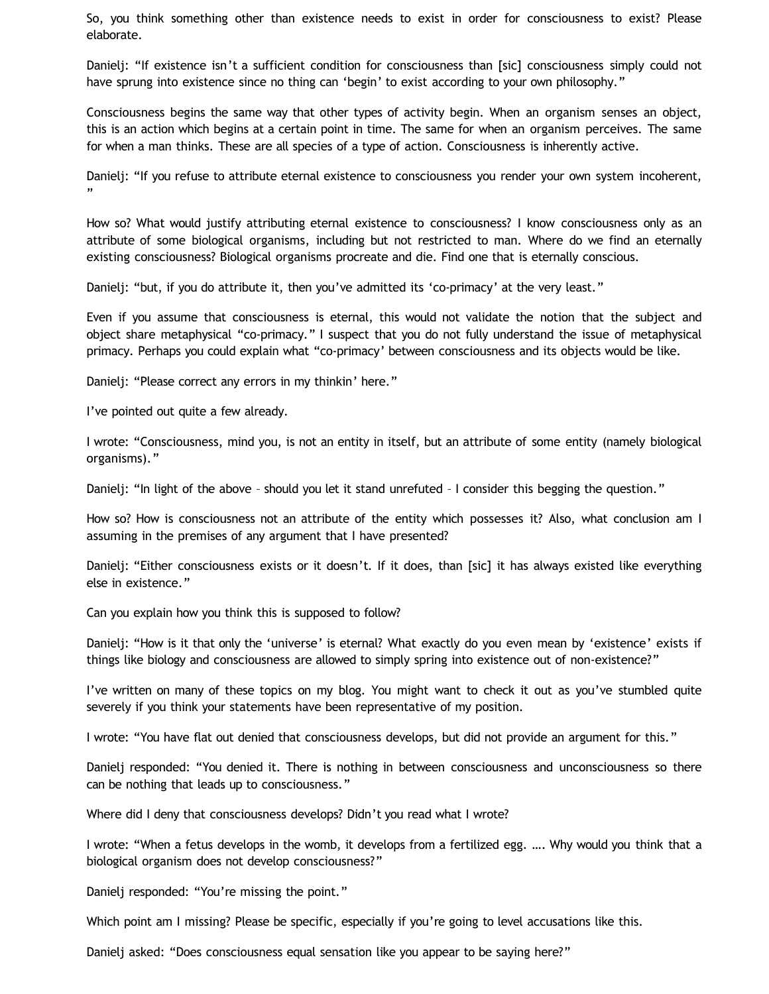So, you think something other than existence needs to exist in order for consciousness to exist? Please elaborate.

Danielj: "If existence isn't a sufficient condition for consciousness than [sic] consciousness simply could not have sprung into existence since no thing can 'begin' to exist according to your own philosophy."

Consciousness begins the same way that other types of activity begin. When an organism senses an object, this is an action which begins at a certain point in time. The same for when an organism perceives. The same for when a man thinks. These are all species of a type of action. Consciousness is inherently active.

Danielj: "If you refuse to attribute eternal existence to consciousness you render your own system incoherent, "

How so? What would justify attributing eternal existence to consciousness? I know consciousness only as an attribute of some biological organisms, including but not restricted to man. Where do we find an eternally existing consciousness? Biological organisms procreate and die. Find one that is eternally conscious.

Danielj: "but, if you do attribute it, then you've admitted its 'co-primacy' at the very least."

Even if you assume that consciousness is eternal, this would not validate the notion that the subject and object share metaphysical "co-primacy." I suspect that you do not fully understand the issue of metaphysical primacy. Perhaps you could explain what "co-primacy' between consciousness and its objects would be like.

Danielj: "Please correct any errors in my thinkin' here."

I've pointed out quite a few already.

I wrote: "Consciousness, mind you, is not an entity in itself, but an attribute of some entity (namely biological organisms)."

Danielj: "In light of the above – should you let it stand unrefuted – I consider this begging the question."

How so? How is consciousness not an attribute of the entity which possesses it? Also, what conclusion am I assuming in the premises of any argument that I have presented?

Danielj: "Either consciousness exists or it doesn't. If it does, than [sic] it has always existed like everything else in existence."

Can you explain how you think this is supposed to follow?

Danielj: "How is it that only the 'universe' is eternal? What exactly do you even mean by 'existence' exists if things like biology and consciousness are allowed to simply spring into existence out of non-existence?"

I've written on many of these topics on my blog. You might want to check it out as you've stumbled quite severely if you think your statements have been representative of my position.

I wrote: "You have flat out denied that consciousness develops, but did not provide an argument for this."

Danielj responded: "You denied it. There is nothing in between consciousness and unconsciousness so there can be nothing that leads up to consciousness."

Where did I deny that consciousness develops? Didn't you read what I wrote?

I wrote: "When a fetus develops in the womb, it develops from a fertilized egg. …. Why would you think that a biological organism does not develop consciousness?"

Danielj responded: "You're missing the point."

Which point am I missing? Please be specific, especially if you're going to level accusations like this.

Danielj asked: "Does consciousness equal sensation like you appear to be saying here?"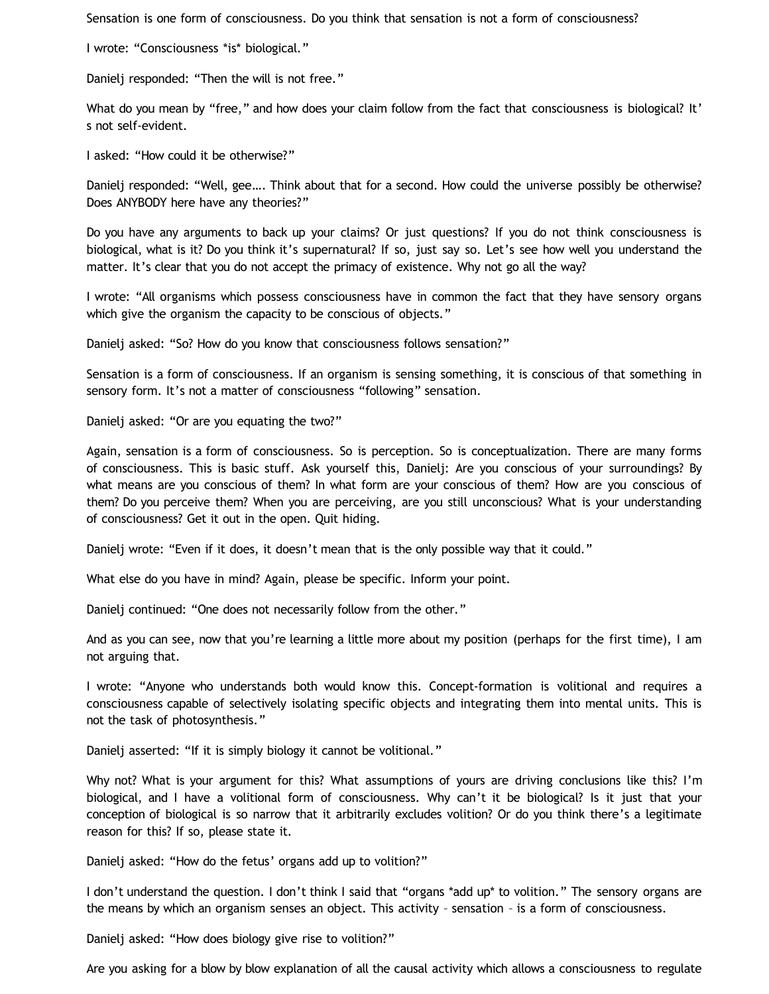Sensation is one form of consciousness. Do you think that sensation is not a form of consciousness?

I wrote: "Consciousness \*is\* biological."

Danielj responded: "Then the will is not free."

What do you mean by "free," and how does your claim follow from the fact that consciousness is biological? It' s not self-evident.

I asked: "How could it be otherwise?"

Danielj responded: "Well, gee…. Think about that for a second. How could the universe possibly be otherwise? Does ANYBODY here have any theories?"

Do you have any arguments to back up your claims? Or just questions? If you do not think consciousness is biological, what is it? Do you think it's supernatural? If so, just say so. Let's see how well you understand the matter. It's clear that you do not accept the primacy of existence. Why not go all the way?

I wrote: "All organisms which possess consciousness have in common the fact that they have sensory organs which give the organism the capacity to be conscious of objects."

Danielj asked: "So? How do you know that consciousness follows sensation?"

Sensation is a form of consciousness. If an organism is sensing something, it is conscious of that something in sensory form. It's not a matter of consciousness "following" sensation.

Danielj asked: "Or are you equating the two?"

Again, sensation is a form of consciousness. So is perception. So is conceptualization. There are many forms of consciousness. This is basic stuff. Ask yourself this, Danielj: Are you conscious of your surroundings? By what means are you conscious of them? In what form are your conscious of them? How are you conscious of them? Do you perceive them? When you are perceiving, are you still unconscious? What is your understanding of consciousness? Get it out in the open. Quit hiding.

Danielj wrote: "Even if it does, it doesn't mean that is the only possible way that it could."

What else do you have in mind? Again, please be specific. Inform your point.

Danielj continued: "One does not necessarily follow from the other."

And as you can see, now that you're learning a little more about my position (perhaps for the first time), I am not arguing that.

I wrote: "Anyone who understands both would know this. Concept-formation is volitional and requires a consciousness capable of selectively isolating specific objects and integrating them into mental units. This is not the task of photosynthesis."

Danielj asserted: "If it is simply biology it cannot be volitional."

Why not? What is your argument for this? What assumptions of yours are driving conclusions like this? I'm biological, and I have a volitional form of consciousness. Why can't it be biological? Is it just that your conception of biological is so narrow that it arbitrarily excludes volition? Or do you think there's a legitimate reason for this? If so, please state it.

Danielj asked: "How do the fetus' organs add up to volition?"

I don't understand the question. I don't think I said that "organs \*add up\* to volition." The sensory organs are the means by which an organism senses an object. This activity – sensation – is a form of consciousness.

Danielj asked: "How does biology give rise to volition?"

Are you asking for a blow by blow explanation of all the causal activity which allows a consciousness to regulate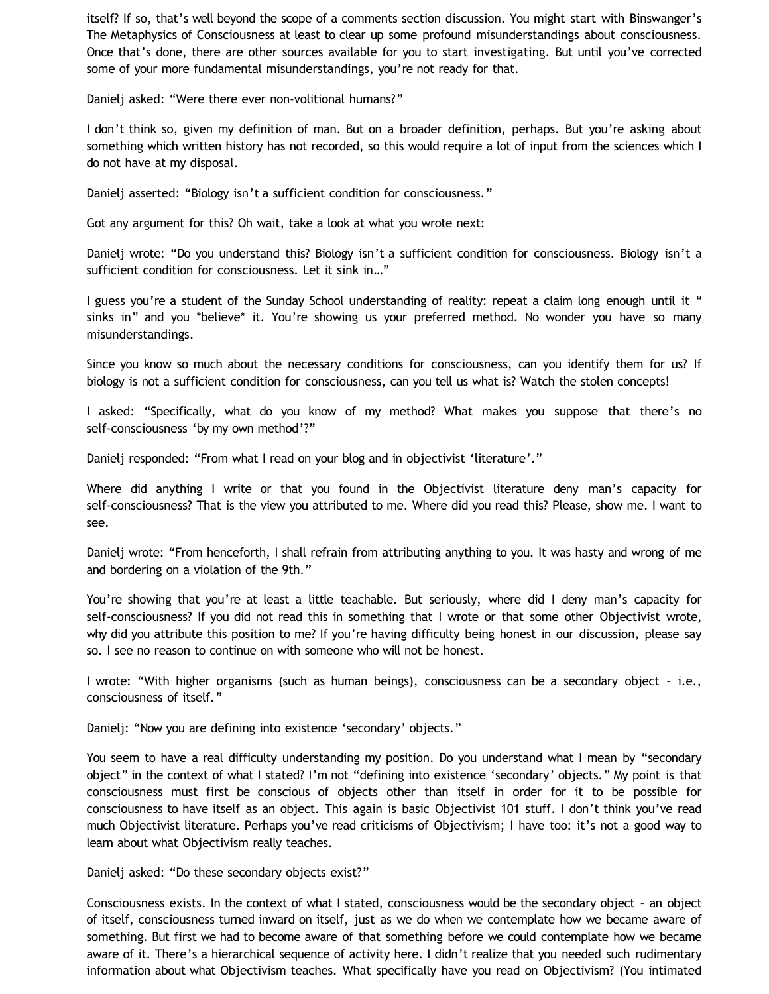itself? If so, that's well beyond the scope of a comments section discussion. You might start with Binswanger's The Metaphysics of Consciousness at least to clear up some profound misunderstandings about consciousness. Once that's done, there are other sources available for you to start investigating. But until you've corrected some of your more fundamental misunderstandings, you're not ready for that.

Danielj asked: "Were there ever non-volitional humans?"

I don't think so, given my definition of man. But on a broader definition, perhaps. But you're asking about something which written history has not recorded, so this would require a lot of input from the sciences which I do not have at my disposal.

Danielj asserted: "Biology isn't a sufficient condition for consciousness."

Got any argument for this? Oh wait, take a look at what you wrote next:

Danielj wrote: "Do you understand this? Biology isn't a sufficient condition for consciousness. Biology isn't a sufficient condition for consciousness. Let it sink in…"

I guess you're a student of the Sunday School understanding of reality: repeat a claim long enough until it " sinks in" and you \*believe\* it. You're showing us your preferred method. No wonder you have so many misunderstandings.

Since you know so much about the necessary conditions for consciousness, can you identify them for us? If biology is not a sufficient condition for consciousness, can you tell us what is? Watch the stolen concepts!

I asked: "Specifically, what do you know of my method? What makes you suppose that there's no self-consciousness 'by my own method'?"

Danielj responded: "From what I read on your blog and in objectivist 'literature'."

Where did anything I write or that you found in the Objectivist literature deny man's capacity for self-consciousness? That is the view you attributed to me. Where did you read this? Please, show me. I want to see.

Danielj wrote: "From henceforth, I shall refrain from attributing anything to you. It was hasty and wrong of me and bordering on a violation of the 9th."

You're showing that you're at least a little teachable. But seriously, where did I deny man's capacity for self-consciousness? If you did not read this in something that I wrote or that some other Objectivist wrote, why did you attribute this position to me? If you're having difficulty being honest in our discussion, please say so. I see no reason to continue on with someone who will not be honest.

I wrote: "With higher organisms (such as human beings), consciousness can be a secondary object – i.e., consciousness of itself."

Danielj: "Now you are defining into existence 'secondary' objects."

You seem to have a real difficulty understanding my position. Do you understand what I mean by "secondary object" in the context of what I stated? I'm not "defining into existence 'secondary' objects." My point is that consciousness must first be conscious of objects other than itself in order for it to be possible for consciousness to have itself as an object. This again is basic Objectivist 101 stuff. I don't think you've read much Objectivist literature. Perhaps you've read criticisms of Objectivism; I have too: it's not a good way to learn about what Objectivism really teaches.

Danielj asked: "Do these secondary objects exist?"

Consciousness exists. In the context of what I stated, consciousness would be the secondary object – an object of itself, consciousness turned inward on itself, just as we do when we contemplate how we became aware of something. But first we had to become aware of that something before we could contemplate how we became aware of it. There's a hierarchical sequence of activity here. I didn't realize that you needed such rudimentary information about what Objectivism teaches. What specifically have you read on Objectivism? (You intimated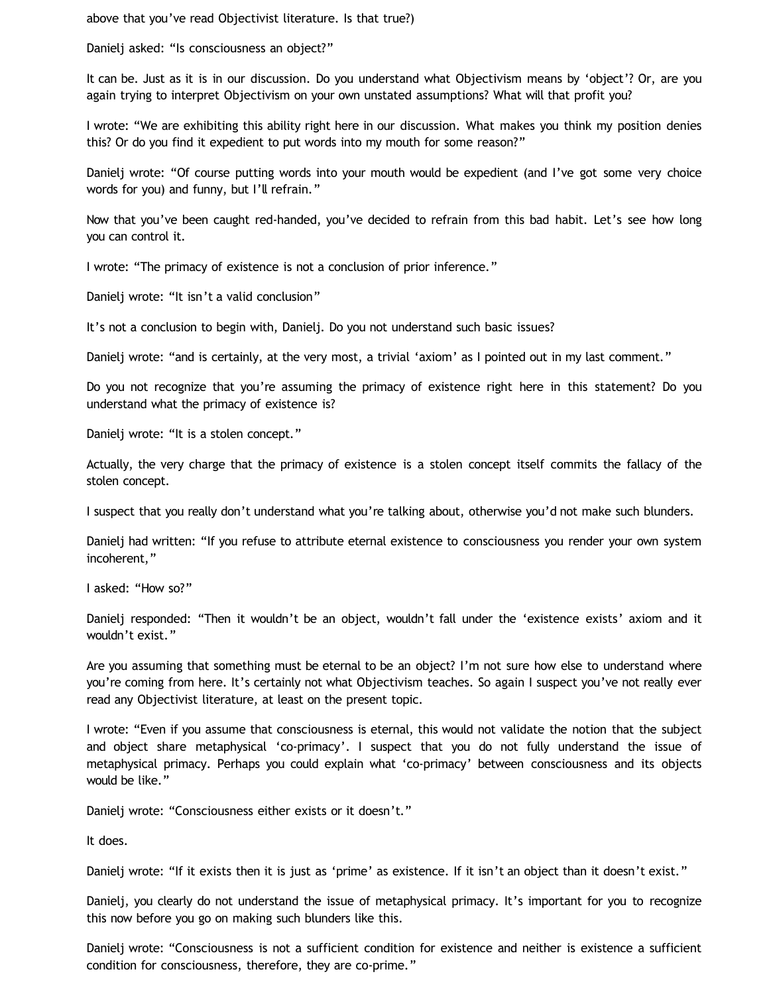above that you've read Objectivist literature. Is that true?)

Danielj asked: "Is consciousness an object?"

It can be. Just as it is in our discussion. Do you understand what Objectivism means by 'object'? Or, are you again trying to interpret Objectivism on your own unstated assumptions? What will that profit you?

I wrote: "We are exhibiting this ability right here in our discussion. What makes you think my position denies this? Or do you find it expedient to put words into my mouth for some reason?"

Danielj wrote: "Of course putting words into your mouth would be expedient (and I've got some very choice words for you) and funny, but I'll refrain."

Now that you've been caught red-handed, you've decided to refrain from this bad habit. Let's see how long you can control it.

I wrote: "The primacy of existence is not a conclusion of prior inference."

Danielj wrote: "It isn't a valid conclusion"

It's not a conclusion to begin with, Danielj. Do you not understand such basic issues?

Danielj wrote: "and is certainly, at the very most, a trivial 'axiom' as I pointed out in my last comment."

Do you not recognize that you're assuming the primacy of existence right here in this statement? Do you understand what the primacy of existence is?

Danielj wrote: "It is a stolen concept."

Actually, the very charge that the primacy of existence is a stolen concept itself commits the fallacy of the stolen concept.

I suspect that you really don't understand what you're talking about, otherwise you'd not make such blunders.

Danielj had written: "If you refuse to attribute eternal existence to consciousness you render your own system incoherent,"

I asked: "How so?"

Danielj responded: "Then it wouldn't be an object, wouldn't fall under the 'existence exists' axiom and it wouldn't exist."

Are you assuming that something must be eternal to be an object? I'm not sure how else to understand where you're coming from here. It's certainly not what Objectivism teaches. So again I suspect you've not really ever read any Objectivist literature, at least on the present topic.

I wrote: "Even if you assume that consciousness is eternal, this would not validate the notion that the subject and object share metaphysical 'co-primacy'. I suspect that you do not fully understand the issue of metaphysical primacy. Perhaps you could explain what 'co-primacy' between consciousness and its objects would be like."

Danielj wrote: "Consciousness either exists or it doesn't."

It does.

Danielj wrote: "If it exists then it is just as 'prime' as existence. If it isn't an object than it doesn't exist."

Danielj, you clearly do not understand the issue of metaphysical primacy. It's important for you to recognize this now before you go on making such blunders like this.

Danielj wrote: "Consciousness is not a sufficient condition for existence and neither is existence a sufficient condition for consciousness, therefore, they are co-prime."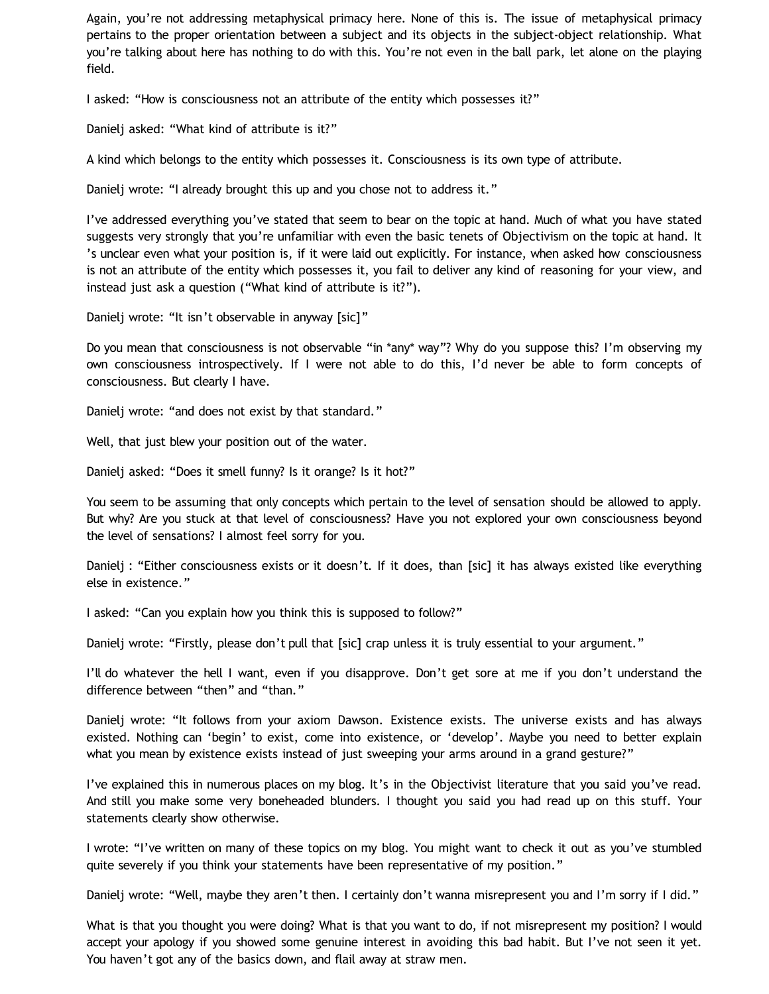Again, you're not addressing metaphysical primacy here. None of this is. The issue of metaphysical primacy pertains to the proper orientation between a subject and its objects in the subject-object relationship. What you're talking about here has nothing to do with this. You're not even in the ball park, let alone on the playing field.

I asked: "How is consciousness not an attribute of the entity which possesses it?"

Danielj asked: "What kind of attribute is it?"

A kind which belongs to the entity which possesses it. Consciousness is its own type of attribute.

Danielj wrote: "I already brought this up and you chose not to address it."

I've addressed everything you've stated that seem to bear on the topic at hand. Much of what you have stated suggests very strongly that you're unfamiliar with even the basic tenets of Objectivism on the topic at hand. It 's unclear even what your position is, if it were laid out explicitly. For instance, when asked how consciousness is not an attribute of the entity which possesses it, you fail to deliver any kind of reasoning for your view, and instead just ask a question ("What kind of attribute is it?").

Danielj wrote: "It isn't observable in anyway [sic]"

Do you mean that consciousness is not observable "in \*any\* way"? Why do you suppose this? I'm observing my own consciousness introspectively. If I were not able to do this, I'd never be able to form concepts of consciousness. But clearly I have.

Danielj wrote: "and does not exist by that standard."

Well, that just blew your position out of the water.

Danielj asked: "Does it smell funny? Is it orange? Is it hot?"

You seem to be assuming that only concepts which pertain to the level of sensation should be allowed to apply. But why? Are you stuck at that level of consciousness? Have you not explored your own consciousness beyond the level of sensations? I almost feel sorry for you.

Danielj : "Either consciousness exists or it doesn't. If it does, than [sic] it has always existed like everything else in existence."

I asked: "Can you explain how you think this is supposed to follow?"

Danielj wrote: "Firstly, please don't pull that [sic] crap unless it is truly essential to your argument."

I'll do whatever the hell I want, even if you disapprove. Don't get sore at me if you don't understand the difference between "then" and "than."

Danielj wrote: "It follows from your axiom Dawson. Existence exists. The universe exists and has always existed. Nothing can 'begin' to exist, come into existence, or 'develop'. Maybe you need to better explain what you mean by existence exists instead of just sweeping your arms around in a grand gesture?"

I've explained this in numerous places on my blog. It's in the Objectivist literature that you said you've read. And still you make some very boneheaded blunders. I thought you said you had read up on this stuff. Your statements clearly show otherwise.

I wrote: "I've written on many of these topics on my blog. You might want to check it out as you've stumbled quite severely if you think your statements have been representative of my position."

Danielj wrote: "Well, maybe they aren't then. I certainly don't wanna misrepresent you and I'm sorry if I did."

What is that you thought you were doing? What is that you want to do, if not misrepresent my position? I would accept your apology if you showed some genuine interest in avoiding this bad habit. But I've not seen it yet. You haven't got any of the basics down, and flail away at straw men.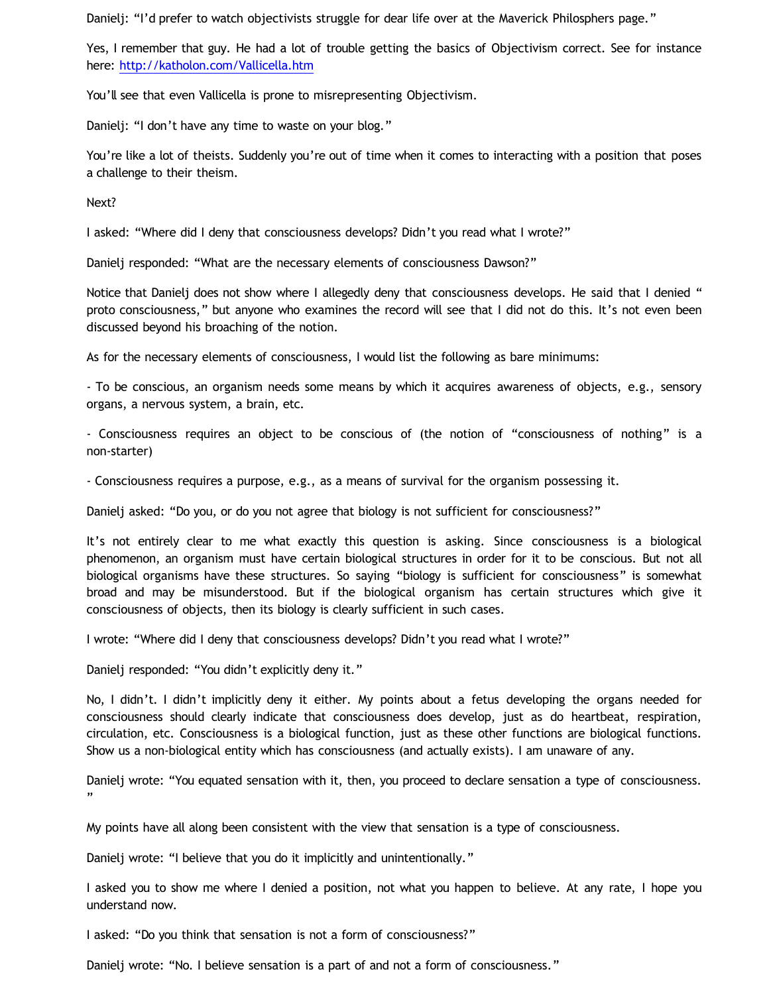Danielj: "I'd prefer to watch objectivists struggle for dear life over at the Maverick Philosphers page."

Yes, I remember that guy. He had a lot of trouble getting the basics of Objectivism correct. See for instance here: <http://katholon.com/Vallicella.htm>

You'll see that even Vallicella is prone to misrepresenting Objectivism.

Danielj: "I don't have any time to waste on your blog."

You're like a lot of theists. Suddenly you're out of time when it comes to interacting with a position that poses a challenge to their theism.

Next?

I asked: "Where did I deny that consciousness develops? Didn't you read what I wrote?"

Danielj responded: "What are the necessary elements of consciousness Dawson?"

Notice that Danielj does not show where I allegedly deny that consciousness develops. He said that I denied " proto consciousness," but anyone who examines the record will see that I did not do this. It's not even been discussed beyond his broaching of the notion.

As for the necessary elements of consciousness, I would list the following as bare minimums:

- To be conscious, an organism needs some means by which it acquires awareness of objects, e.g., sensory organs, a nervous system, a brain, etc.

- Consciousness requires an object to be conscious of (the notion of "consciousness of nothing" is a non-starter)

- Consciousness requires a purpose, e.g., as a means of survival for the organism possessing it.

Danielj asked: "Do you, or do you not agree that biology is not sufficient for consciousness?"

It's not entirely clear to me what exactly this question is asking. Since consciousness is a biological phenomenon, an organism must have certain biological structures in order for it to be conscious. But not all biological organisms have these structures. So saying "biology is sufficient for consciousness" is somewhat broad and may be misunderstood. But if the biological organism has certain structures which give it consciousness of objects, then its biology is clearly sufficient in such cases.

I wrote: "Where did I deny that consciousness develops? Didn't you read what I wrote?"

Danielj responded: "You didn't explicitly deny it."

No, I didn't. I didn't implicitly deny it either. My points about a fetus developing the organs needed for consciousness should clearly indicate that consciousness does develop, just as do heartbeat, respiration, circulation, etc. Consciousness is a biological function, just as these other functions are biological functions. Show us a non-biological entity which has consciousness (and actually exists). I am unaware of any.

Danielj wrote: "You equated sensation with it, then, you proceed to declare sensation a type of consciousness. "

My points have all along been consistent with the view that sensation is a type of consciousness.

Danielj wrote: "I believe that you do it implicitly and unintentionally."

I asked you to show me where I denied a position, not what you happen to believe. At any rate, I hope you understand now.

I asked: "Do you think that sensation is not a form of consciousness?"

Danielj wrote: "No. I believe sensation is a part of and not a form of consciousness."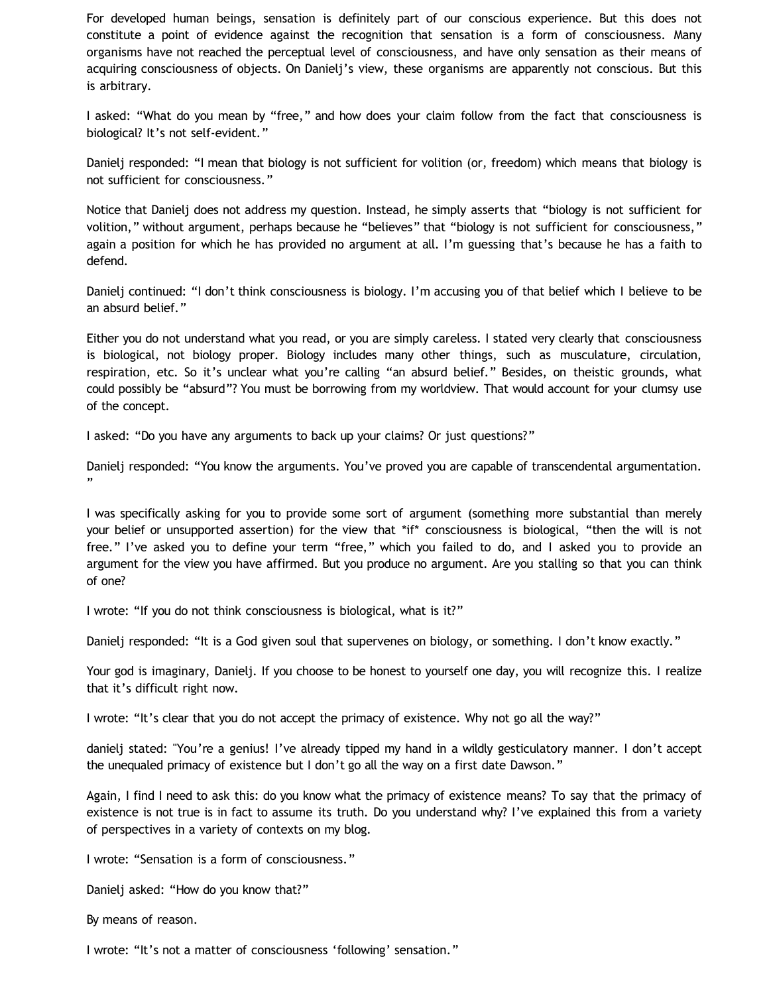For developed human beings, sensation is definitely part of our conscious experience. But this does not constitute a point of evidence against the recognition that sensation is a form of consciousness. Many organisms have not reached the perceptual level of consciousness, and have only sensation as their means of acquiring consciousness of objects. On Danielj's view, these organisms are apparently not conscious. But this is arbitrary.

I asked: "What do you mean by "free," and how does your claim follow from the fact that consciousness is biological? It's not self-evident."

Danielj responded: "I mean that biology is not sufficient for volition (or, freedom) which means that biology is not sufficient for consciousness."

Notice that Danielj does not address my question. Instead, he simply asserts that "biology is not sufficient for volition," without argument, perhaps because he "believes" that "biology is not sufficient for consciousness," again a position for which he has provided no argument at all. I'm guessing that's because he has a faith to defend.

Danielj continued: "I don't think consciousness is biology. I'm accusing you of that belief which I believe to be an absurd belief."

Either you do not understand what you read, or you are simply careless. I stated very clearly that consciousness is biological, not biology proper. Biology includes many other things, such as musculature, circulation, respiration, etc. So it's unclear what you're calling "an absurd belief." Besides, on theistic grounds, what could possibly be "absurd"? You must be borrowing from my worldview. That would account for your clumsy use of the concept.

I asked: "Do you have any arguments to back up your claims? Or just questions?"

Danielj responded: "You know the arguments. You've proved you are capable of transcendental argumentation. "

I was specifically asking for you to provide some sort of argument (something more substantial than merely your belief or unsupported assertion) for the view that \*if\* consciousness is biological, "then the will is not free." I've asked you to define your term "free," which you failed to do, and I asked you to provide an argument for the view you have affirmed. But you produce no argument. Are you stalling so that you can think of one?

I wrote: "If you do not think consciousness is biological, what is it?"

Danielj responded: "It is a God given soul that supervenes on biology, or something. I don't know exactly."

Your god is imaginary, Danielj. If you choose to be honest to yourself one day, you will recognize this. I realize that it's difficult right now.

I wrote: "It's clear that you do not accept the primacy of existence. Why not go all the way?"

danielj stated: "You're a genius! I've already tipped my hand in a wildly gesticulatory manner. I don't accept the unequaled primacy of existence but I don't go all the way on a first date Dawson."

Again, I find I need to ask this: do you know what the primacy of existence means? To say that the primacy of existence is not true is in fact to assume its truth. Do you understand why? I've explained this from a variety of perspectives in a variety of contexts on my blog.

I wrote: "Sensation is a form of consciousness."

Danielj asked: "How do you know that?"

By means of reason.

I wrote: "It's not a matter of consciousness 'following' sensation."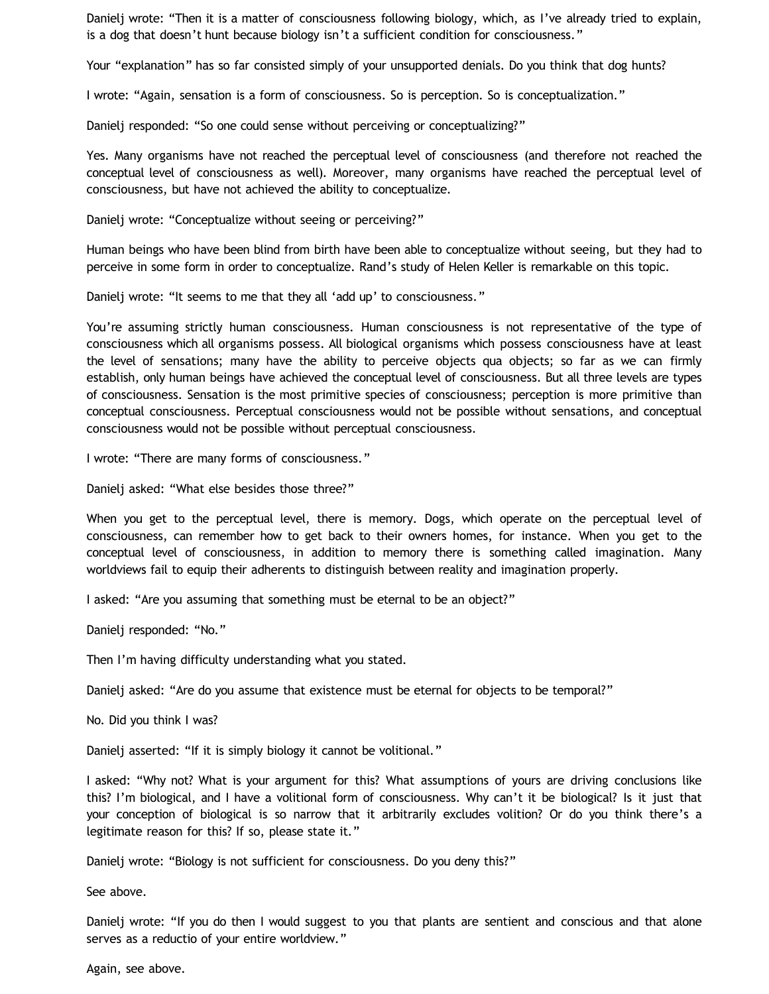Danielj wrote: "Then it is a matter of consciousness following biology, which, as I've already tried to explain, is a dog that doesn't hunt because biology isn't a sufficient condition for consciousness."

Your "explanation" has so far consisted simply of your unsupported denials. Do you think that dog hunts?

I wrote: "Again, sensation is a form of consciousness. So is perception. So is conceptualization."

Danielj responded: "So one could sense without perceiving or conceptualizing?"

Yes. Many organisms have not reached the perceptual level of consciousness (and therefore not reached the conceptual level of consciousness as well). Moreover, many organisms have reached the perceptual level of consciousness, but have not achieved the ability to conceptualize.

Danielj wrote: "Conceptualize without seeing or perceiving?"

Human beings who have been blind from birth have been able to conceptualize without seeing, but they had to perceive in some form in order to conceptualize. Rand's study of Helen Keller is remarkable on this topic.

Danielj wrote: "It seems to me that they all 'add up' to consciousness."

You're assuming strictly human consciousness. Human consciousness is not representative of the type of consciousness which all organisms possess. All biological organisms which possess consciousness have at least the level of sensations; many have the ability to perceive objects qua objects; so far as we can firmly establish, only human beings have achieved the conceptual level of consciousness. But all three levels are types of consciousness. Sensation is the most primitive species of consciousness; perception is more primitive than conceptual consciousness. Perceptual consciousness would not be possible without sensations, and conceptual consciousness would not be possible without perceptual consciousness.

I wrote: "There are many forms of consciousness."

Danielj asked: "What else besides those three?"

When you get to the perceptual level, there is memory. Dogs, which operate on the perceptual level of consciousness, can remember how to get back to their owners homes, for instance. When you get to the conceptual level of consciousness, in addition to memory there is something called imagination. Many worldviews fail to equip their adherents to distinguish between reality and imagination properly.

I asked: "Are you assuming that something must be eternal to be an object?"

Danielj responded: "No."

Then I'm having difficulty understanding what you stated.

Danielj asked: "Are do you assume that existence must be eternal for objects to be temporal?"

No. Did you think I was?

Danielj asserted: "If it is simply biology it cannot be volitional."

I asked: "Why not? What is your argument for this? What assumptions of yours are driving conclusions like this? I'm biological, and I have a volitional form of consciousness. Why can't it be biological? Is it just that your conception of biological is so narrow that it arbitrarily excludes volition? Or do you think there's a legitimate reason for this? If so, please state it."

Danielj wrote: "Biology is not sufficient for consciousness. Do you deny this?"

See above.

Danielj wrote: "If you do then I would suggest to you that plants are sentient and conscious and that alone serves as a reductio of your entire worldview."

Again, see above.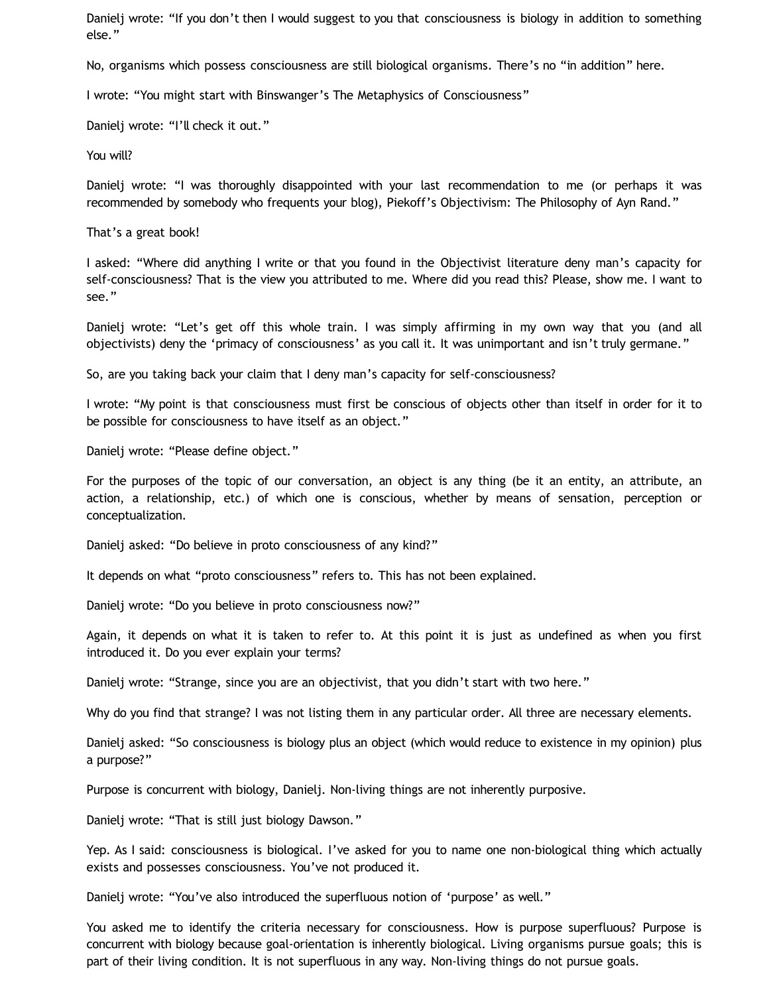Danielj wrote: "If you don't then I would suggest to you that consciousness is biology in addition to something else."

No, organisms which possess consciousness are still biological organisms. There's no "in addition" here.

I wrote: "You might start with Binswanger's The Metaphysics of Consciousness"

Danielj wrote: "I'll check it out."

You will?

Danielj wrote: "I was thoroughly disappointed with your last recommendation to me (or perhaps it was recommended by somebody who frequents your blog), Piekoff's Objectivism: The Philosophy of Ayn Rand."

That's a great book!

I asked: "Where did anything I write or that you found in the Objectivist literature deny man's capacity for self-consciousness? That is the view you attributed to me. Where did you read this? Please, show me. I want to see."

Danielj wrote: "Let's get off this whole train. I was simply affirming in my own way that you (and all objectivists) deny the 'primacy of consciousness' as you call it. It was unimportant and isn't truly germane."

So, are you taking back your claim that I deny man's capacity for self-consciousness?

I wrote: "My point is that consciousness must first be conscious of objects other than itself in order for it to be possible for consciousness to have itself as an object."

Danielj wrote: "Please define object."

For the purposes of the topic of our conversation, an object is any thing (be it an entity, an attribute, an action, a relationship, etc.) of which one is conscious, whether by means of sensation, perception or conceptualization.

Danielj asked: "Do believe in proto consciousness of any kind?"

It depends on what "proto consciousness" refers to. This has not been explained.

Danielj wrote: "Do you believe in proto consciousness now?"

Again, it depends on what it is taken to refer to. At this point it is just as undefined as when you first introduced it. Do you ever explain your terms?

Danielj wrote: "Strange, since you are an objectivist, that you didn't start with two here."

Why do you find that strange? I was not listing them in any particular order. All three are necessary elements.

Danielj asked: "So consciousness is biology plus an object (which would reduce to existence in my opinion) plus a purpose?"

Purpose is concurrent with biology, Danielj. Non-living things are not inherently purposive.

Danielj wrote: "That is still just biology Dawson."

Yep. As I said: consciousness is biological. I've asked for you to name one non-biological thing which actually exists and possesses consciousness. You've not produced it.

Danielj wrote: "You've also introduced the superfluous notion of 'purpose' as well."

You asked me to identify the criteria necessary for consciousness. How is purpose superfluous? Purpose is concurrent with biology because goal-orientation is inherently biological. Living organisms pursue goals; this is part of their living condition. It is not superfluous in any way. Non-living things do not pursue goals.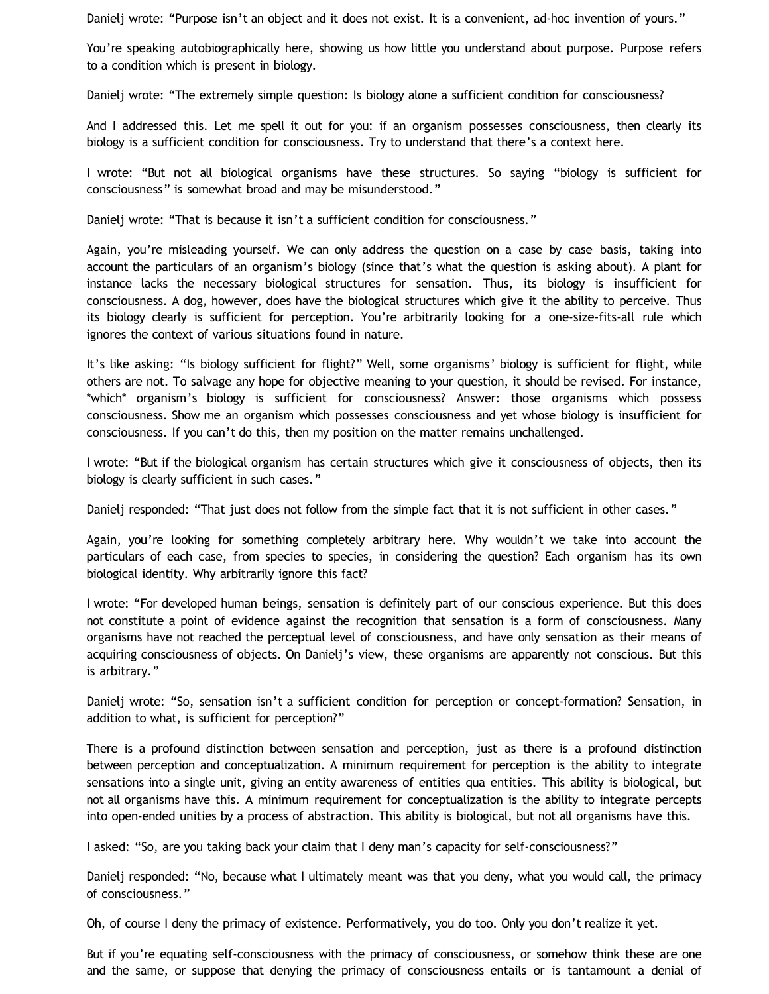Danielj wrote: "Purpose isn't an object and it does not exist. It is a convenient, ad-hoc invention of yours."

You're speaking autobiographically here, showing us how little you understand about purpose. Purpose refers to a condition which is present in biology.

Danielj wrote: "The extremely simple question: Is biology alone a sufficient condition for consciousness?

And I addressed this. Let me spell it out for you: if an organism possesses consciousness, then clearly its biology is a sufficient condition for consciousness. Try to understand that there's a context here.

I wrote: "But not all biological organisms have these structures. So saying "biology is sufficient for consciousness" is somewhat broad and may be misunderstood."

Danielj wrote: "That is because it isn't a sufficient condition for consciousness."

Again, you're misleading yourself. We can only address the question on a case by case basis, taking into account the particulars of an organism's biology (since that's what the question is asking about). A plant for instance lacks the necessary biological structures for sensation. Thus, its biology is insufficient for consciousness. A dog, however, does have the biological structures which give it the ability to perceive. Thus its biology clearly is sufficient for perception. You're arbitrarily looking for a one-size-fits-all rule which ignores the context of various situations found in nature.

It's like asking: "Is biology sufficient for flight?" Well, some organisms' biology is sufficient for flight, while others are not. To salvage any hope for objective meaning to your question, it should be revised. For instance, \*which\* organism's biology is sufficient for consciousness? Answer: those organisms which possess consciousness. Show me an organism which possesses consciousness and yet whose biology is insufficient for consciousness. If you can't do this, then my position on the matter remains unchallenged.

I wrote: "But if the biological organism has certain structures which give it consciousness of objects, then its biology is clearly sufficient in such cases."

Danielj responded: "That just does not follow from the simple fact that it is not sufficient in other cases."

Again, you're looking for something completely arbitrary here. Why wouldn't we take into account the particulars of each case, from species to species, in considering the question? Each organism has its own biological identity. Why arbitrarily ignore this fact?

I wrote: "For developed human beings, sensation is definitely part of our conscious experience. But this does not constitute a point of evidence against the recognition that sensation is a form of consciousness. Many organisms have not reached the perceptual level of consciousness, and have only sensation as their means of acquiring consciousness of objects. On Danielj's view, these organisms are apparently not conscious. But this is arbitrary."

Danielj wrote: "So, sensation isn't a sufficient condition for perception or concept-formation? Sensation, in addition to what, is sufficient for perception?"

There is a profound distinction between sensation and perception, just as there is a profound distinction between perception and conceptualization. A minimum requirement for perception is the ability to integrate sensations into a single unit, giving an entity awareness of entities qua entities. This ability is biological, but not all organisms have this. A minimum requirement for conceptualization is the ability to integrate percepts into open-ended unities by a process of abstraction. This ability is biological, but not all organisms have this.

I asked: "So, are you taking back your claim that I deny man's capacity for self-consciousness?"

Danielj responded: "No, because what I ultimately meant was that you deny, what you would call, the primacy of consciousness."

Oh, of course I deny the primacy of existence. Performatively, you do too. Only you don't realize it yet.

But if you're equating self-consciousness with the primacy of consciousness, or somehow think these are one and the same, or suppose that denying the primacy of consciousness entails or is tantamount a denial of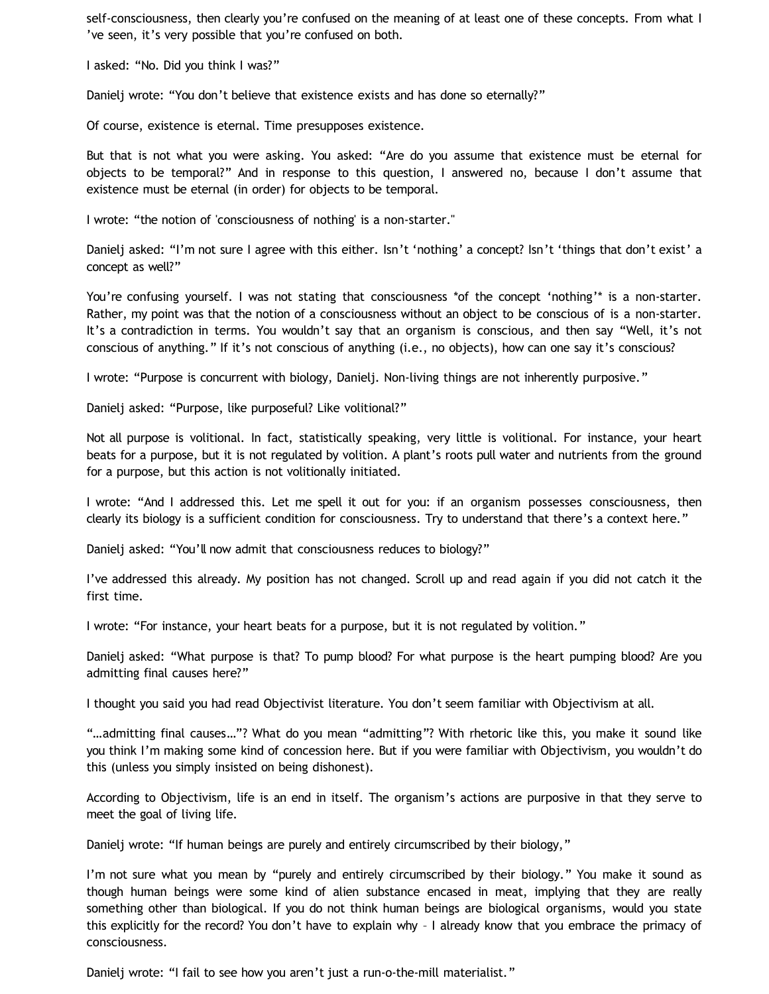self-consciousness, then clearly you're confused on the meaning of at least one of these concepts. From what I 've seen, it's very possible that you're confused on both.

I asked: "No. Did you think I was?"

Danielj wrote: "You don't believe that existence exists and has done so eternally?"

Of course, existence is eternal. Time presupposes existence.

But that is not what you were asking. You asked: "Are do you assume that existence must be eternal for objects to be temporal?" And in response to this question, I answered no, because I don't assume that existence must be eternal (in order) for objects to be temporal.

I wrote: "the notion of 'consciousness of nothing' is a non-starter."

Danielj asked: "I'm not sure I agree with this either. Isn't 'nothing' a concept? Isn't 'things that don't exist' a concept as well?"

You're confusing yourself. I was not stating that consciousness \*of the concept 'nothing'\* is a non-starter. Rather, my point was that the notion of a consciousness without an object to be conscious of is a non-starter. It's a contradiction in terms. You wouldn't say that an organism is conscious, and then say "Well, it's not conscious of anything." If it's not conscious of anything (i.e., no objects), how can one say it's conscious?

I wrote: "Purpose is concurrent with biology, Danielj. Non-living things are not inherently purposive."

Danielj asked: "Purpose, like purposeful? Like volitional?"

Not all purpose is volitional. In fact, statistically speaking, very little is volitional. For instance, your heart beats for a purpose, but it is not regulated by volition. A plant's roots pull water and nutrients from the ground for a purpose, but this action is not volitionally initiated.

I wrote: "And I addressed this. Let me spell it out for you: if an organism possesses consciousness, then clearly its biology is a sufficient condition for consciousness. Try to understand that there's a context here."

Danielj asked: "You'll now admit that consciousness reduces to biology?"

I've addressed this already. My position has not changed. Scroll up and read again if you did not catch it the first time.

I wrote: "For instance, your heart beats for a purpose, but it is not regulated by volition."

Danielj asked: "What purpose is that? To pump blood? For what purpose is the heart pumping blood? Are you admitting final causes here?"

I thought you said you had read Objectivist literature. You don't seem familiar with Objectivism at all.

"…admitting final causes…"? What do you mean "admitting"? With rhetoric like this, you make it sound like you think I'm making some kind of concession here. But if you were familiar with Objectivism, you wouldn't do this (unless you simply insisted on being dishonest).

According to Objectivism, life is an end in itself. The organism's actions are purposive in that they serve to meet the goal of living life.

Danielj wrote: "If human beings are purely and entirely circumscribed by their biology,"

I'm not sure what you mean by "purely and entirely circumscribed by their biology." You make it sound as though human beings were some kind of alien substance encased in meat, implying that they are really something other than biological. If you do not think human beings are biological organisms, would you state this explicitly for the record? You don't have to explain why – I already know that you embrace the primacy of consciousness.

Danielj wrote: "I fail to see how you aren't just a run-o-the-mill materialist."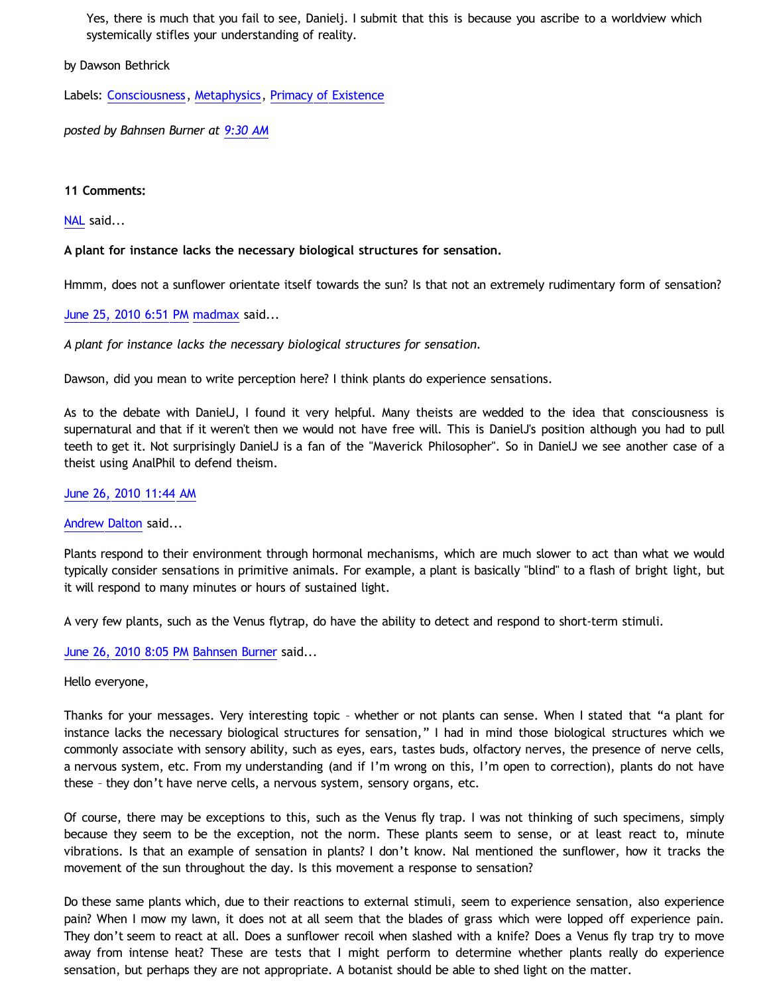Yes, there is much that you fail to see, Danielj. I submit that this is because you ascribe to a worldview which systemically stifles your understanding of reality.

by Dawson Bethrick

Labels: [Consciousness](http://bahnsenburner.blogspot.com/search/label/Consciousness), [Metaphysics](http://bahnsenburner.blogspot.com/search/label/Metaphysics), [Primacy of Existence](http://bahnsenburner.blogspot.com/search/label/Primacy%20of%20Existence)

*posted by Bahnsen Burner at [9:30 AM](http://bahnsenburner.blogspot.com/2010/06/biological-nature-of-consciousness.html)*

## **11 Comments:**

[NAL](http://www.blogger.com/profile/12244370945682162312) said...

**A plant for instance lacks the necessary biological structures for sensation.**

Hmmm, does not a sunflower orientate itself towards the sun? Is that not an extremely rudimentary form of sensation?

[June 25, 2010 6:51 PM](http://bahnsenburner.blogspot.com/2010/06/8822838499017388256) [madmax](http://www.blogger.com/profile/14375140131881725965) said...

*A plant for instance lacks the necessary biological structures for sensation.*

Dawson, did you mean to write perception here? I think plants do experience sensations.

As to the debate with DanielJ, I found it very helpful. Many theists are wedded to the idea that consciousness is supernatural and that if it weren't then we would not have free will. This is DanielJ's position although you had to pull teeth to get it. Not surprisingly DanielJ is a fan of the "Maverick Philosopher". So in DanielJ we see another case of a theist using AnalPhil to defend theism.

## [June 26, 2010 11:44 AM](http://bahnsenburner.blogspot.com/2010/06/1642869973660969532)

[Andrew Dalton](http://www.blogger.com/profile/11001665674703307354) said...

Plants respond to their environment through hormonal mechanisms, which are much slower to act than what we would typically consider sensations in primitive animals. For example, a plant is basically "blind" to a flash of bright light, but it will respond to many minutes or hours of sustained light.

A very few plants, such as the Venus flytrap, do have the ability to detect and respond to short-term stimuli.

[June 26, 2010 8:05 PM](http://bahnsenburner.blogspot.com/2010/06/4560418778940889209) [Bahnsen Burner](http://www.blogger.com/profile/11030029491768748360) said...

Hello everyone,

Thanks for your messages. Very interesting topic – whether or not plants can sense. When I stated that "a plant for instance lacks the necessary biological structures for sensation," I had in mind those biological structures which we commonly associate with sensory ability, such as eyes, ears, tastes buds, olfactory nerves, the presence of nerve cells, a nervous system, etc. From my understanding (and if I'm wrong on this, I'm open to correction), plants do not have these – they don't have nerve cells, a nervous system, sensory organs, etc.

Of course, there may be exceptions to this, such as the Venus fly trap. I was not thinking of such specimens, simply because they seem to be the exception, not the norm. These plants seem to sense, or at least react to, minute vibrations. Is that an example of sensation in plants? I don't know. Nal mentioned the sunflower, how it tracks the movement of the sun throughout the day. Is this movement a response to sensation?

Do these same plants which, due to their reactions to external stimuli, seem to experience sensation, also experience pain? When I mow my lawn, it does not at all seem that the blades of grass which were lopped off experience pain. They don't seem to react at all. Does a sunflower recoil when slashed with a knife? Does a Venus fly trap try to move away from intense heat? These are tests that I might perform to determine whether plants really do experience sensation, but perhaps they are not appropriate. A botanist should be able to shed light on the matter.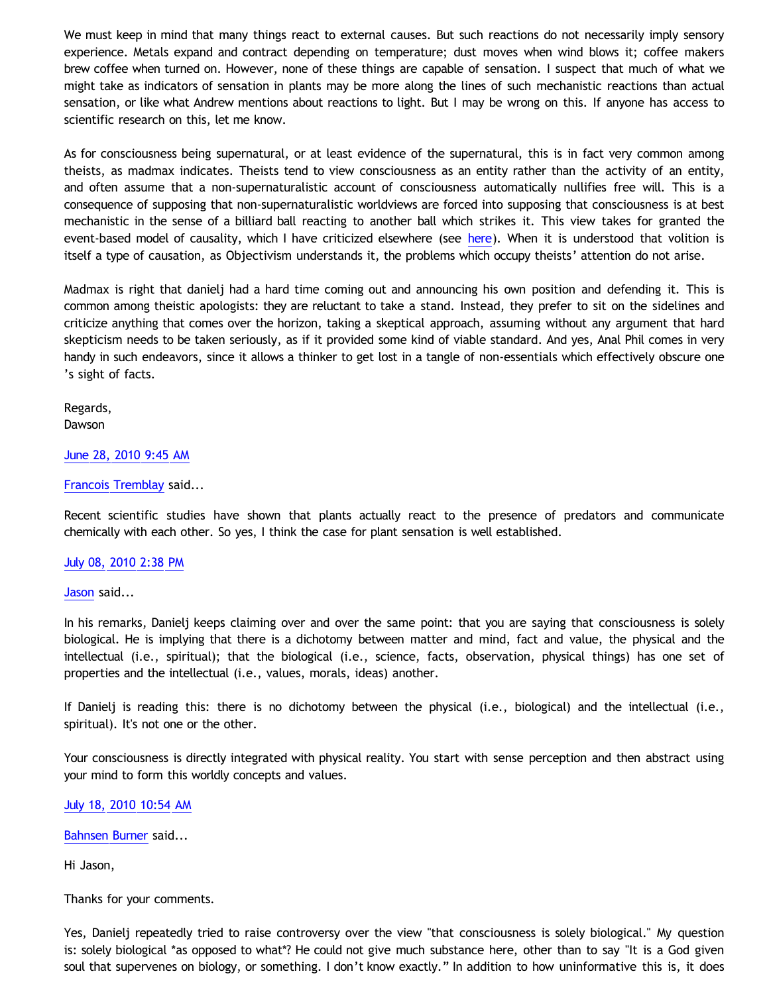We must keep in mind that many things react to external causes. But such reactions do not necessarily imply sensory experience. Metals expand and contract depending on temperature; dust moves when wind blows it; coffee makers brew coffee when turned on. However, none of these things are capable of sensation. I suspect that much of what we might take as indicators of sensation in plants may be more along the lines of such mechanistic reactions than actual sensation, or like what Andrew mentions about reactions to light. But I may be wrong on this. If anyone has access to scientific research on this, let me know.

As for consciousness being supernatural, or at least evidence of the supernatural, this is in fact very common among theists, as madmax indicates. Theists tend to view consciousness as an entity rather than the activity of an entity, and often assume that a non-supernaturalistic account of consciousness automatically nullifies free will. This is a consequence of supposing that non-supernaturalistic worldviews are forced into supposing that consciousness is at best mechanistic in the sense of a billiard ball reacting to another ball which strikes it. This view takes for granted the event-based model of causality, which I have criticized elsew[here](http://bahnsenburner.blogspot.com/2010/03/humean-causality-and.html) (see here). When it is understood that volition is itself a type of causation, as Objectivism understands it, the problems which occupy theists' attention do not arise.

Madmax is right that danielj had a hard time coming out and announcing his own position and defending it. This is common among theistic apologists: they are reluctant to take a stand. Instead, they prefer to sit on the sidelines and criticize anything that comes over the horizon, taking a skeptical approach, assuming without any argument that hard skepticism needs to be taken seriously, as if it provided some kind of viable standard. And yes, Anal Phil comes in very handy in such endeavors, since it allows a thinker to get lost in a tangle of non-essentials which effectively obscure one 's sight of facts.

Regards, **Dawson** 

#### [June 28, 2010 9:45 AM](http://bahnsenburner.blogspot.com/2010/06/4138442233108161749)

#### [Francois Tremblay](http://www.blogger.com/profile/04760072622693359795) said...

Recent scientific studies have shown that plants actually react to the presence of predators and communicate chemically with each other. So yes, I think the case for plant sensation is well established.

#### [July 08, 2010 2:38 PM](http://bahnsenburner.blogspot.com/2010/06/2305397569020364194)

[Jason](http://www.blogger.com/profile/07349001186716542668) said...

In his remarks, Danielj keeps claiming over and over the same point: that you are saying that consciousness is solely biological. He is implying that there is a dichotomy between matter and mind, fact and value, the physical and the intellectual (i.e., spiritual); that the biological (i.e., science, facts, observation, physical things) has one set of properties and the intellectual (i.e., values, morals, ideas) another.

If Danielj is reading this: there is no dichotomy between the physical (i.e., biological) and the intellectual (i.e., spiritual). It's not one or the other.

Your consciousness is directly integrated with physical reality. You start with sense perception and then abstract using your mind to form this worldly concepts and values.

#### [July 18, 2010 10:54 AM](http://bahnsenburner.blogspot.com/2010/06/461903613167861830)

[Bahnsen Burner](http://www.blogger.com/profile/11030029491768748360) said...

Hi Jason,

Thanks for your comments.

Yes, Danielj repeatedly tried to raise controversy over the view "that consciousness is solely biological." My question is: solely biological \*as opposed to what\*? He could not give much substance here, other than to say "It is a God given soul that supervenes on biology, or something. I don't know exactly." In addition to how uninformative this is, it does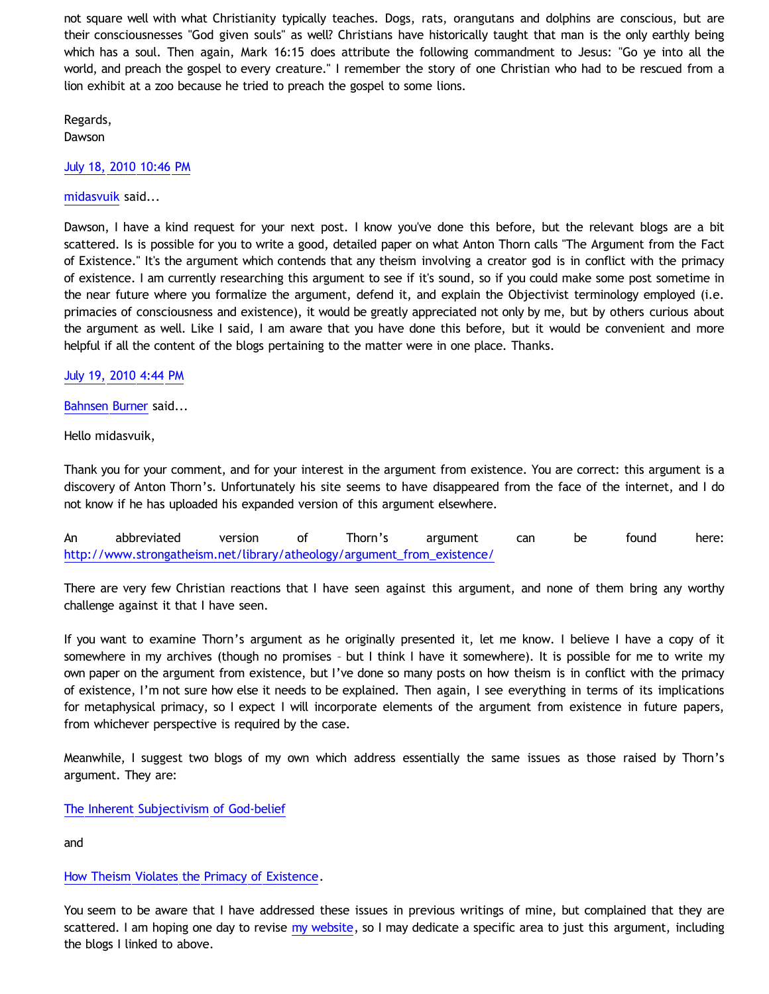not square well with what Christianity typically teaches. Dogs, rats, orangutans and dolphins are conscious, but are their consciousnesses "God given souls" as well? Christians have historically taught that man is the only earthly being which has a soul. Then again, Mark 16:15 does attribute the following commandment to Jesus: "Go ye into all the world, and preach the gospel to every creature." I remember the story of one Christian who had to be rescued from a lion exhibit at a zoo because he tried to preach the gospel to some lions.

Regards,

Dawson

[July 18, 2010 10:46 PM](http://bahnsenburner.blogspot.com/2010/06/8362621344585876341)

[midasvuik](http://www.blogger.com/profile/16116187071955572970) said...

Dawson, I have a kind request for your next post. I know you've done this before, but the relevant blogs are a bit scattered. Is is possible for you to write a good, detailed paper on what Anton Thorn calls "The Argument from the Fact of Existence." It's the argument which contends that any theism involving a creator god is in conflict with the primacy of existence. I am currently researching this argument to see if it's sound, so if you could make some post sometime in the near future where you formalize the argument, defend it, and explain the Objectivist terminology employed (i.e. primacies of consciousness and existence), it would be greatly appreciated not only by me, but by others curious about the argument as well. Like I said, I am aware that you have done this before, but it would be convenient and more helpful if all the content of the blogs pertaining to the matter were in one place. Thanks.

[July 19, 2010 4:44 PM](http://bahnsenburner.blogspot.com/2010/06/2257120063309167723)

[Bahnsen Burner](http://www.blogger.com/profile/11030029491768748360) said...

Hello midasvuik,

Thank you for your comment, and for your interest in the argument from existence. You are correct: this argument is a discovery of Anton Thorn's. Unfortunately his site seems to have disappeared from the face of the internet, and I do not know if he has uploaded his expanded version of this argument elsewhere.

An abbreviated version of Thorn's argument can be found here: [http://www.strongatheism.net/library/atheology/argument\\_from\\_existence/](http://www.strongatheism.net/library/atheology/argument_from_existence/)

There are very few Christian reactions that I have seen against this argument, and none of them bring any worthy challenge against it that I have seen.

If you want to examine Thorn's argument as he originally presented it, let me know. I believe I have a copy of it somewhere in my archives (though no promises – but I think I have it somewhere). It is possible for me to write my own paper on the argument from existence, but I've done so many posts on how theism is in conflict with the primacy of existence, I'm not sure how else it needs to be explained. Then again, I see everything in terms of its implications for metaphysical primacy, so I expect I will incorporate elements of the argument from existence in future papers, from whichever perspective is required by the case.

Meanwhile, I suggest two blogs of my own which address essentially the same issues as those raised by Thorn's argument. They are:

[The Inherent Subjectivism of God-belief](http://bahnsenburner.blogspot.com/2008/12/inherent-subjectivism-of-god-belief.html)

and

# [How Theism Violates the Primacy of Existence](http://bahnsenburner.blogspot.com/2010/02/how-theism-violates-primacy-of.html).

You seem to be aware that I have addressed these issues in previous writings of mine, but complained that they are scattered. I am hoping one day to revise [my website](http://katholon.com/writings.htm), so I may dedicate a specific area to just this argument, including the blogs I linked to above.